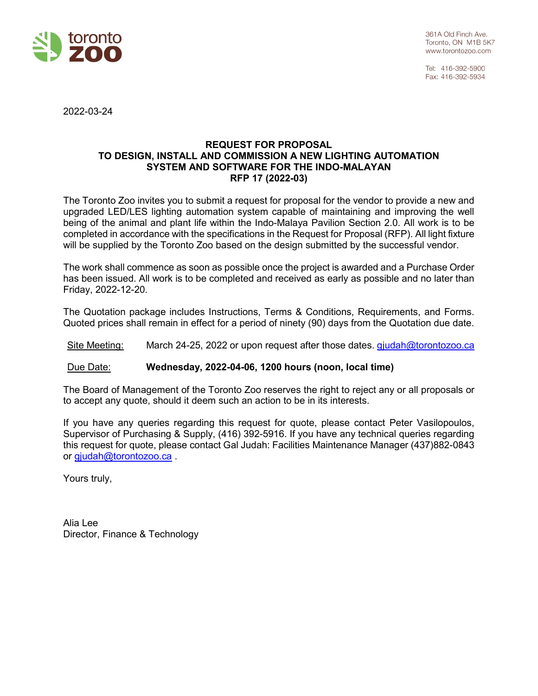

Tel: 416-392-5900 Fax: 416-392-5934

2022-03-24

#### **REQUEST FOR PROPOSAL TO DESIGN, INSTALL AND COMMISSION A NEW LIGHTING AUTOMATION SYSTEM AND SOFTWARE FOR THE INDO-MALAYAN RFP 17 (2022-03)**

The Toronto Zoo invites you to submit a request for proposal for the vendor to provide a new and upgraded LED/LES lighting automation system capable of maintaining and improving the well being of the animal and plant life within the Indo-Malaya Pavilion Section 2.0. All work is to be completed in accordance with the specifications in the Request for Proposal (RFP). All light fixture will be supplied by the Toronto Zoo based on the design submitted by the successful vendor.

The work shall commence as soon as possible once the project is awarded and a Purchase Order has been issued. All work is to be completed and received as early as possible and no later than Friday, 2022-12-20.

The Quotation package includes Instructions, Terms & Conditions, Requirements, and Forms. Quoted prices shall remain in effect for a period of ninety (90) days from the Quotation due date.

Site Meeting: March 24-25, 2022 or upon request after those dates. [gjudah@torontozoo.ca](mailto:gjudah@torontozoo.ca)

#### Due Date: **Wednesday, 2022-04-06, 1200 hours (noon, local time)**

The Board of Management of the Toronto Zoo reserves the right to reject any or all proposals or to accept any quote, should it deem such an action to be in its interests.

If you have any queries regarding this request for quote, please contact Peter Vasilopoulos, Supervisor of Purchasing & Supply, (416) 392-5916. If you have any technical queries regarding this request for quote, please contact Gal Judah: Facilities Maintenance Manager (437)882-0843 or [gjudah@torontozoo.ca](mailto:gjudah@torontozoo.ca) .

Yours truly,

Alia Lee Director, Finance & Technology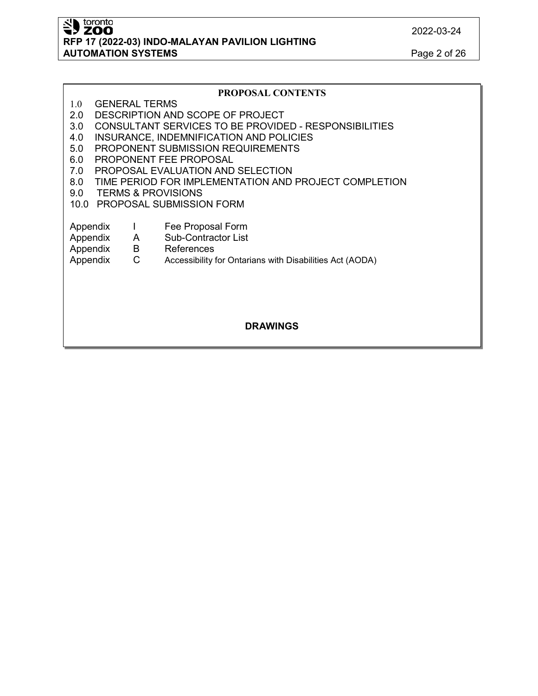SID toronto **RFP 17 (2022-03) INDO-MALAYAN PAVILION LIGHTING AUTOMATION SYSTEMS** Page 2 of 26

#### **PROPOSAL CONTENTS**

- 1.0 GENERAL TERMS
- 2.0 DESCRIPTION AND SCOPE OF PROJECT
- 3.0 CONSULTANT SERVICES TO BE PROVIDED RESPONSIBILITIES
- 4.0 INSURANCE, INDEMNIFICATION AND POLICIES
- 5.0 PROPONENT SUBMISSION REQUIREMENTS
- 6.0 PROPONENT FEE PROPOSAL
- 7.0 PROPOSAL EVALUATION AND SELECTION
- 8.0 TIME PERIOD FOR IMPLEMENTATION AND PROJECT COMPLETION
- 9.0 TERMS & PROVISIONS
- 10.0 PROPOSAL SUBMISSION FORM
- Appendix I Fee Proposal Form
- Appendix A Sub-Contractor List
- Appendix B References<br>Appendix C Accessibility f

Appendix C Accessibility for Ontarians with Disabilities Act (AODA)

#### **DRAWINGS**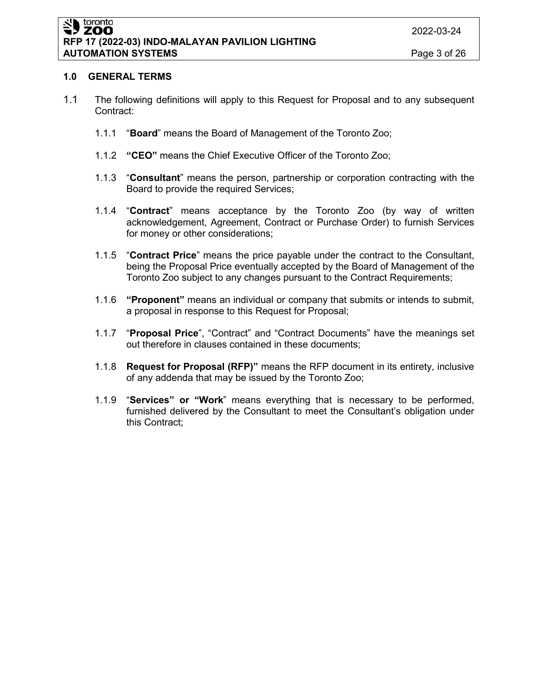### **1.0 GENERAL TERMS**

- 1.1 The following definitions will apply to this Request for Proposal and to any subsequent Contract:
	- 1.1.1 "**Board**" means the Board of Management of the Toronto Zoo;
	- 1.1.2 **"CEO"** means the Chief Executive Officer of the Toronto Zoo;
	- 1.1.3 "**Consultant**" means the person, partnership or corporation contracting with the Board to provide the required Services;
	- 1.1.4 "**Contract**" means acceptance by the Toronto Zoo (by way of written acknowledgement, Agreement, Contract or Purchase Order) to furnish Services for money or other considerations;
	- 1.1.5 "**Contract Price**" means the price payable under the contract to the Consultant, being the Proposal Price eventually accepted by the Board of Management of the Toronto Zoo subject to any changes pursuant to the Contract Requirements;
	- 1.1.6 **"Proponent"** means an individual or company that submits or intends to submit, a proposal in response to this Request for Proposal;
	- 1.1.7 "**Proposal Price**", "Contract" and "Contract Documents" have the meanings set out therefore in clauses contained in these documents;
	- 1.1.8 **Request for Proposal (RFP)"** means the RFP document in its entirety, inclusive of any addenda that may be issued by the Toronto Zoo;
	- 1.1.9 "**Services" or "Work**" means everything that is necessary to be performed, furnished delivered by the Consultant to meet the Consultant's obligation under this Contract;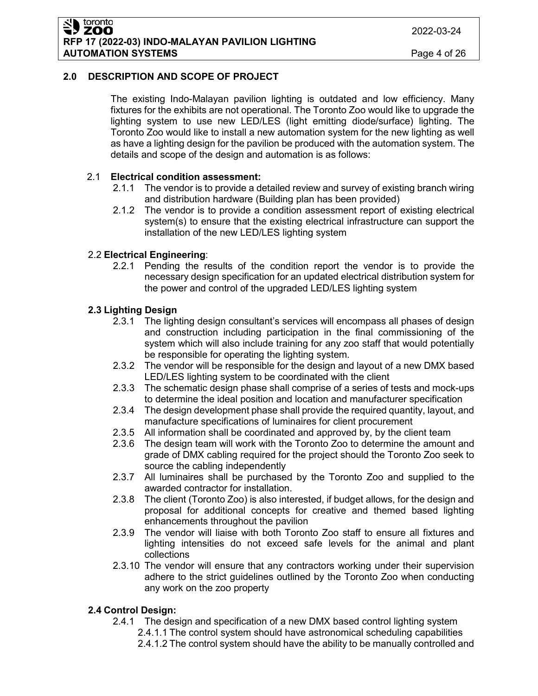**RFP 17 (2022-03) INDO-MALAYAN PAVILION LIGHTING AUTOMATION SYSTEMS** Page 4 of 26

toronto ZOO

## **2.0 DESCRIPTION AND SCOPE OF PROJECT**

The existing Indo-Malayan pavilion lighting is outdated and low efficiency. Many fixtures for the exhibits are not operational. The Toronto Zoo would like to upgrade the lighting system to use new LED/LES (light emitting diode/surface) lighting. The Toronto Zoo would like to install a new automation system for the new lighting as well as have a lighting design for the pavilion be produced with the automation system. The details and scope of the design and automation is as follows:

## 2.1 **Electrical condition assessment:**

- 2.1.1 The vendor is to provide a detailed review and survey of existing branch wiring and distribution hardware (Building plan has been provided)
- 2.1.2 The vendor is to provide a condition assessment report of existing electrical system(s) to ensure that the existing electrical infrastructure can support the installation of the new LED/LES lighting system

## 2.2 **Electrical Engineering**:

2.2.1 Pending the results of the condition report the vendor is to provide the necessary design specification for an updated electrical distribution system for the power and control of the upgraded LED/LES lighting system

## **2.3 Lighting Design**

- 2.3.1 The lighting design consultant's services will encompass all phases of design and construction including participation in the final commissioning of the system which will also include training for any zoo staff that would potentially be responsible for operating the lighting system.
- 2.3.2 The vendor will be responsible for the design and layout of a new DMX based LED/LES lighting system to be coordinated with the client
- 2.3.3 The schematic design phase shall comprise of a series of tests and mock-ups to determine the ideal position and location and manufacturer specification
- 2.3.4 The design development phase shall provide the required quantity, layout, and manufacture specifications of luminaires for client procurement
- 2.3.5 All information shall be coordinated and approved by, by the client team
- 2.3.6 The design team will work with the Toronto Zoo to determine the amount and grade of DMX cabling required for the project should the Toronto Zoo seek to source the cabling independently
- 2.3.7 All luminaires shall be purchased by the Toronto Zoo and supplied to the awarded contractor for installation.
- 2.3.8 The client (Toronto Zoo) is also interested, if budget allows, for the design and proposal for additional concepts for creative and themed based lighting enhancements throughout the pavilion
- 2.3.9 The vendor will liaise with both Toronto Zoo staff to ensure all fixtures and lighting intensities do not exceed safe levels for the animal and plant collections
- 2.3.10 The vendor will ensure that any contractors working under their supervision adhere to the strict guidelines outlined by the Toronto Zoo when conducting any work on the zoo property

## **2.4 Control Design:**

- 2.4.1 The design and specification of a new DMX based control lighting system 2.4.1.1 The control system should have astronomical scheduling capabilities
	- 2.4.1.2 The control system should have the ability to be manually controlled and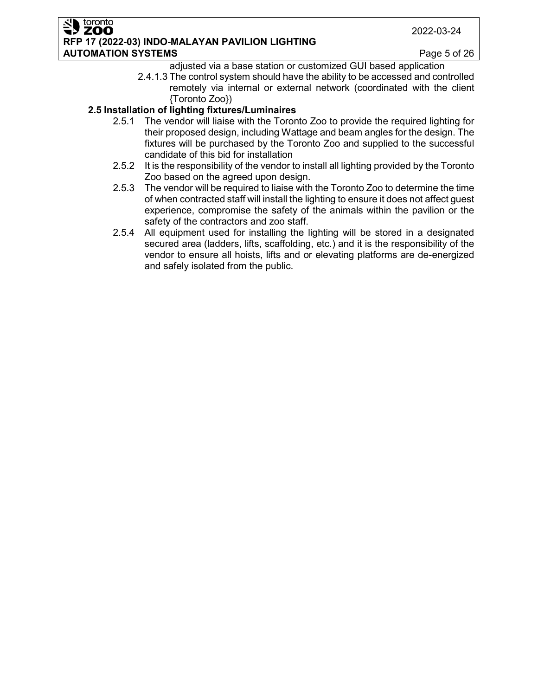#### toronto ZOO **RFP 17 (2022-03) INDO-MALAYAN PAVILION LIGHTING AUTOMATION SYSTEMS** Page 5 of 26

- adjusted via a base station or customized GUI based application
- 2.4.1.3 The control system should have the ability to be accessed and controlled remotely via internal or external network (coordinated with the client {Toronto Zoo})

## **2.5 Installation of lighting fixtures/Luminaires**

- 2.5.1 The vendor will liaise with the Toronto Zoo to provide the required lighting for their proposed design, including Wattage and beam angles for the design. The fixtures will be purchased by the Toronto Zoo and supplied to the successful candidate of this bid for installation
- 2.5.2 It is the responsibility of the vendor to install all lighting provided by the Toronto Zoo based on the agreed upon design.
- 2.5.3 The vendor will be required to liaise with the Toronto Zoo to determine the time of when contracted staff will install the lighting to ensure it does not affect guest experience, compromise the safety of the animals within the pavilion or the safety of the contractors and zoo staff.
- 2.5.4 All equipment used for installing the lighting will be stored in a designated secured area (ladders, lifts, scaffolding, etc.) and it is the responsibility of the vendor to ensure all hoists, lifts and or elevating platforms are de-energized and safely isolated from the public.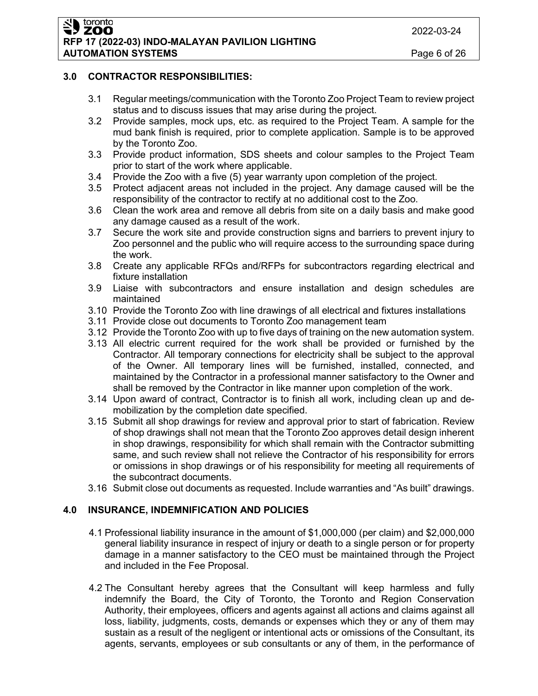2022-03-24

#### toronto **ZOO RFP 17 (2022-03) INDO-MALAYAN PAVILION LIGHTING AUTOMATION SYSTEMS Page 6 of 26**

## **3.0 CONTRACTOR RESPONSIBILITIES:**

- 3.1 Regular meetings/communication with the Toronto Zoo Project Team to review project status and to discuss issues that may arise during the project.
- 3.2 Provide samples, mock ups, etc. as required to the Project Team. A sample for the mud bank finish is required, prior to complete application. Sample is to be approved by the Toronto Zoo.
- 3.3 Provide product information, SDS sheets and colour samples to the Project Team prior to start of the work where applicable.
- 3.4 Provide the Zoo with a five (5) year warranty upon completion of the project.
- 3.5 Protect adjacent areas not included in the project. Any damage caused will be the responsibility of the contractor to rectify at no additional cost to the Zoo.
- 3.6 Clean the work area and remove all debris from site on a daily basis and make good any damage caused as a result of the work.
- 3.7 Secure the work site and provide construction signs and barriers to prevent injury to Zoo personnel and the public who will require access to the surrounding space during the work.
- 3.8 Create any applicable RFQs and/RFPs for subcontractors regarding electrical and fixture installation
- 3.9 Liaise with subcontractors and ensure installation and design schedules are maintained
- 3.10 Provide the Toronto Zoo with line drawings of all electrical and fixtures installations
- 3.11 Provide close out documents to Toronto Zoo management team
- 3.12 Provide the Toronto Zoo with up to five days of training on the new automation system.
- 3.13 All electric current required for the work shall be provided or furnished by the Contractor. All temporary connections for electricity shall be subject to the approval of the Owner. All temporary lines will be furnished, installed, connected, and maintained by the Contractor in a professional manner satisfactory to the Owner and shall be removed by the Contractor in like manner upon completion of the work.
- 3.14 Upon award of contract, Contractor is to finish all work, including clean up and demobilization by the completion date specified.
- 3.15 Submit all shop drawings for review and approval prior to start of fabrication. Review of shop drawings shall not mean that the Toronto Zoo approves detail design inherent in shop drawings, responsibility for which shall remain with the Contractor submitting same, and such review shall not relieve the Contractor of his responsibility for errors or omissions in shop drawings or of his responsibility for meeting all requirements of the subcontract documents.
- 3.16 Submit close out documents as requested. Include warranties and "As built" drawings.

## **4.0 INSURANCE, INDEMNIFICATION AND POLICIES**

- 4.1 Professional liability insurance in the amount of \$1,000,000 (per claim) and \$2,000,000 general liability insurance in respect of injury or death to a single person or for property damage in a manner satisfactory to the CEO must be maintained through the Project and included in the Fee Proposal.
- 4.2 The Consultant hereby agrees that the Consultant will keep harmless and fully indemnify the Board, the City of Toronto, the Toronto and Region Conservation Authority, their employees, officers and agents against all actions and claims against all loss, liability, judgments, costs, demands or expenses which they or any of them may sustain as a result of the negligent or intentional acts or omissions of the Consultant, its agents, servants, employees or sub consultants or any of them, in the performance of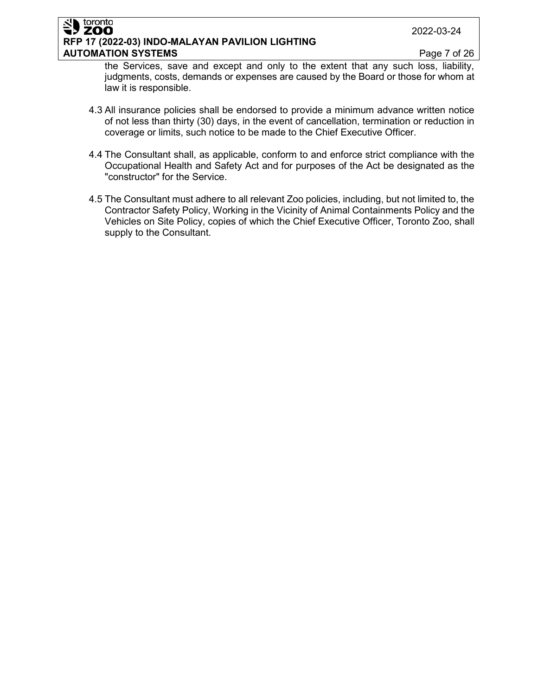#### toronto **ZOO RFP 17 (2022-03) INDO-MALAYAN PAVILION LIGHTING AUTOMATION SYSTEMS Page 7 of 26**

the Services, save and except and only to the extent that any such loss, liability, judgments, costs, demands or expenses are caused by the Board or those for whom at law it is responsible.

- 4.3 All insurance policies shall be endorsed to provide a minimum advance written notice of not less than thirty (30) days, in the event of cancellation, termination or reduction in coverage or limits, such notice to be made to the Chief Executive Officer.
- 4.4 The Consultant shall, as applicable, conform to and enforce strict compliance with the Occupational Health and Safety Act and for purposes of the Act be designated as the "constructor" for the Service.
- 4.5 The Consultant must adhere to all relevant Zoo policies, including, but not limited to, the Contractor Safety Policy, Working in the Vicinity of Animal Containments Policy and the Vehicles on Site Policy, copies of which the Chief Executive Officer, Toronto Zoo, shall supply to the Consultant.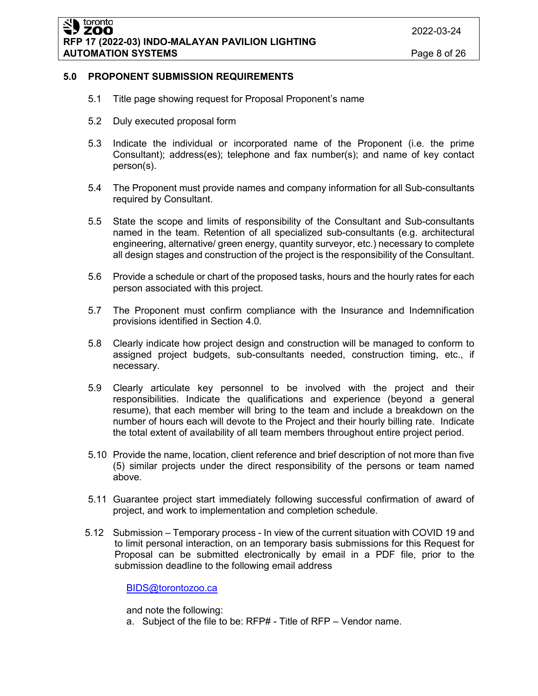### **5.0 PROPONENT SUBMISSION REQUIREMENTS**

- 5.1 Title page showing request for Proposal Proponent's name
- 5.2 Duly executed proposal form
- 5.3 Indicate the individual or incorporated name of the Proponent (i.e. the prime Consultant); address(es); telephone and fax number(s); and name of key contact person(s).
- 5.4 The Proponent must provide names and company information for all Sub-consultants required by Consultant.
- 5.5 State the scope and limits of responsibility of the Consultant and Sub-consultants named in the team. Retention of all specialized sub-consultants (e.g. architectural engineering, alternative/ green energy, quantity surveyor, etc.) necessary to complete all design stages and construction of the project is the responsibility of the Consultant.
- 5.6 Provide a schedule or chart of the proposed tasks, hours and the hourly rates for each person associated with this project.
- 5.7 The Proponent must confirm compliance with the Insurance and Indemnification provisions identified in Section 4.0.
- 5.8 Clearly indicate how project design and construction will be managed to conform to assigned project budgets, sub-consultants needed, construction timing, etc., if necessary.
- 5.9 Clearly articulate key personnel to be involved with the project and their responsibilities. Indicate the qualifications and experience (beyond a general resume), that each member will bring to the team and include a breakdown on the number of hours each will devote to the Project and their hourly billing rate. Indicate the total extent of availability of all team members throughout entire project period.
- 5.10 Provide the name, location, client reference and brief description of not more than five (5) similar projects under the direct responsibility of the persons or team named above.
- 5.11 Guarantee project start immediately following successful confirmation of award of project, and work to implementation and completion schedule.
- 5.12 Submission Temporary process In view of the current situation with COVID 19 and to limit personal interaction, on an temporary basis submissions for this Request for Proposal can be submitted electronically by email in a PDF file, prior to the submission deadline to the following email address

[BIDS@torontozoo.ca](mailto:BIDS@torontozoo.ca)

and note the following:

a. Subject of the file to be: RFP# - Title of RFP – Vendor name.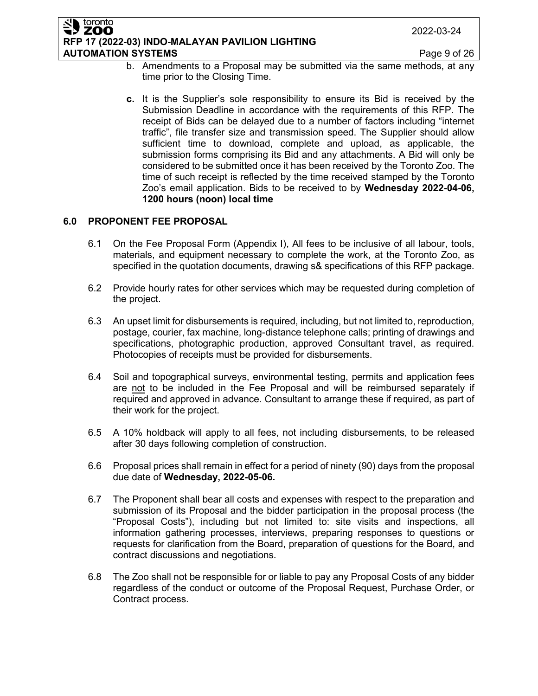#### toronto ZOO **RFP 17 (2022-03) INDO-MALAYAN PAVILION LIGHTING AUTOMATION SYSTEMS Page 9 of 26**

- b. Amendments to a Proposal may be submitted via the same methods, at any time prior to the Closing Time.
- **c.** It is the Supplier's sole responsibility to ensure its Bid is received by the Submission Deadline in accordance with the requirements of this RFP. The receipt of Bids can be delayed due to a number of factors including "internet traffic", file transfer size and transmission speed. The Supplier should allow sufficient time to download, complete and upload, as applicable, the submission forms comprising its Bid and any attachments. A Bid will only be considered to be submitted once it has been received by the Toronto Zoo. The time of such receipt is reflected by the time received stamped by the Toronto Zoo's email application. Bids to be received to by **Wednesday 2022-04-06, 1200 hours (noon) local time**

## **6.0 PROPONENT FEE PROPOSAL**

- 6.1 On the Fee Proposal Form (Appendix I), All fees to be inclusive of all labour, tools, materials, and equipment necessary to complete the work, at the Toronto Zoo, as specified in the quotation documents, drawing s& specifications of this RFP package.
- 6.2 Provide hourly rates for other services which may be requested during completion of the project.
- 6.3 An upset limit for disbursements is required, including, but not limited to, reproduction, postage, courier, fax machine, long-distance telephone calls; printing of drawings and specifications, photographic production, approved Consultant travel, as required. Photocopies of receipts must be provided for disbursements.
- 6.4 Soil and topographical surveys, environmental testing, permits and application fees are not to be included in the Fee Proposal and will be reimbursed separately if required and approved in advance. Consultant to arrange these if required, as part of their work for the project.
- 6.5 A 10% holdback will apply to all fees, not including disbursements, to be released after 30 days following completion of construction.
- 6.6 Proposal prices shall remain in effect for a period of ninety (90) days from the proposal due date of **Wednesday, 2022-05-06.**
- 6.7 The Proponent shall bear all costs and expenses with respect to the preparation and submission of its Proposal and the bidder participation in the proposal process (the "Proposal Costs"), including but not limited to: site visits and inspections, all information gathering processes, interviews, preparing responses to questions or requests for clarification from the Board, preparation of questions for the Board, and contract discussions and negotiations.
- 6.8 The Zoo shall not be responsible for or liable to pay any Proposal Costs of any bidder regardless of the conduct or outcome of the Proposal Request, Purchase Order, or Contract process.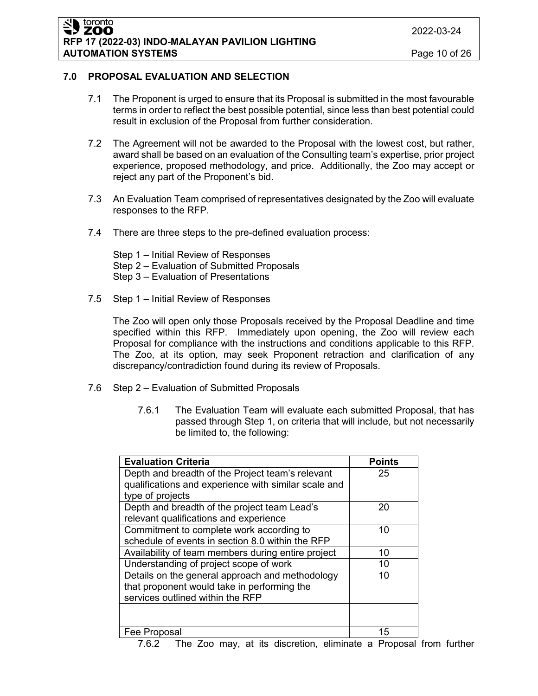ZOO **RFP 17 (2022-03) INDO-MALAYAN PAVILION LIGHTING AUTOMATION SYSTEMS Page 10 of 26** 

2022-03-24

## **7.0 PROPOSAL EVALUATION AND SELECTION**

toronto

- 7.1 The Proponent is urged to ensure that its Proposal is submitted in the most favourable terms in order to reflect the best possible potential, since less than best potential could result in exclusion of the Proposal from further consideration.
- 7.2 The Agreement will not be awarded to the Proposal with the lowest cost, but rather, award shall be based on an evaluation of the Consulting team's expertise, prior project experience, proposed methodology, and price. Additionally, the Zoo may accept or reject any part of the Proponent's bid.
- 7.3 An Evaluation Team comprised of representatives designated by the Zoo will evaluate responses to the RFP.
- 7.4 There are three steps to the pre-defined evaluation process:

Step 1 – Initial Review of Responses Step 2 – Evaluation of Submitted Proposals Step 3 – Evaluation of Presentations

7.5 Step 1 – Initial Review of Responses

The Zoo will open only those Proposals received by the Proposal Deadline and time specified within this RFP. Immediately upon opening, the Zoo will review each Proposal for compliance with the instructions and conditions applicable to this RFP. The Zoo, at its option, may seek Proponent retraction and clarification of any discrepancy/contradiction found during its review of Proposals.

- 7.6 Step 2 Evaluation of Submitted Proposals
	- 7.6.1 The Evaluation Team will evaluate each submitted Proposal, that has passed through Step 1, on criteria that will include, but not necessarily be limited to, the following:

| <b>Evaluation Criteria</b>                           | <b>Points</b> |
|------------------------------------------------------|---------------|
| Depth and breadth of the Project team's relevant     | 25            |
| qualifications and experience with similar scale and |               |
| type of projects                                     |               |
| Depth and breadth of the project team Lead's         | 20            |
| relevant qualifications and experience               |               |
| Commitment to complete work according to             | 10            |
| schedule of events in section 8.0 within the RFP     |               |
| Availability of team members during entire project   | 10            |
| Understanding of project scope of work               | 10            |
| Details on the general approach and methodology      | 10            |
| that proponent would take in performing the          |               |
| services outlined within the RFP                     |               |
|                                                      |               |
|                                                      |               |
| Fee Proposal                                         | 15            |

7.6.2 The Zoo may, at its discretion, eliminate a Proposal from further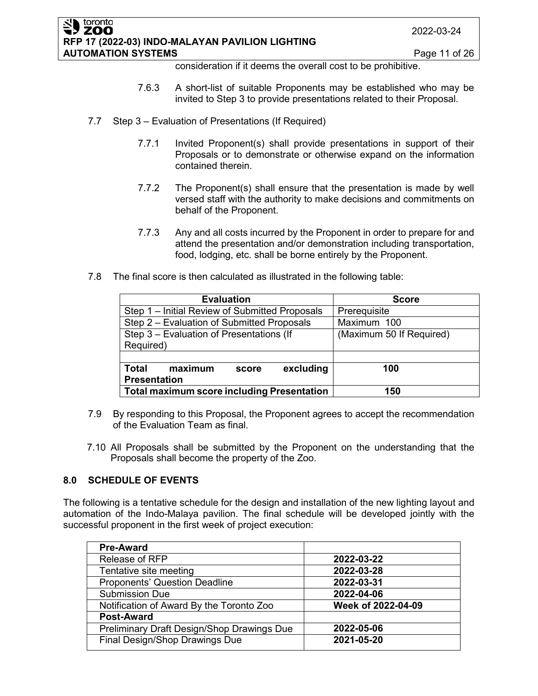#### toronto **ZOO RFP 17 (2022-03) INDO-MALAYAN PAVILION LIGHTING AUTOMATION SYSTEMS Page 11 of 26**

consideration if it deems the overall cost to be prohibitive.

- 7.6.3 A short-list of suitable Proponents may be established who may be invited to Step 3 to provide presentations related to their Proposal.
- 7.7 Step 3 Evaluation of Presentations (If Required)
	- 7.7.1 Invited Proponent(s) shall provide presentations in support of their Proposals or to demonstrate or otherwise expand on the information contained therein.
	- 7.7.2 The Proponent(s) shall ensure that the presentation is made by well versed staff with the authority to make decisions and commitments on behalf of the Proponent.
	- 7.7.3 Any and all costs incurred by the Proponent in order to prepare for and attend the presentation and/or demonstration including transportation, food, lodging, etc. shall be borne entirely by the Proponent.
- 7.8 The final score is then calculated as illustrated in the following table:

| <b>Evaluation</b>                                 | <b>Score</b>             |  |
|---------------------------------------------------|--------------------------|--|
| Step 1 – Initial Review of Submitted Proposals    | Prerequisite             |  |
| Step 2 – Evaluation of Submitted Proposals        | Maximum 100              |  |
| Step 3 - Evaluation of Presentations (If          | (Maximum 50 If Required) |  |
| Required)                                         |                          |  |
|                                                   |                          |  |
| excluding<br>maximum<br><b>Total</b><br>score     | 100                      |  |
| <b>Presentation</b>                               |                          |  |
| <b>Total maximum score including Presentation</b> | 150                      |  |

- 7.9 By responding to this Proposal, the Proponent agrees to accept the recommendation of the Evaluation Team as final.
- 7.10 All Proposals shall be submitted by the Proponent on the understanding that the Proposals shall become the property of the Zoo.

## **8.0 SCHEDULE OF EVENTS**

The following is a tentative schedule for the design and installation of the new lighting layout and automation of the Indo-Malaya pavilion. The final schedule will be developed jointly with the successful proponent in the first week of project execution:

| <b>Pre-Award</b>                           |                    |
|--------------------------------------------|--------------------|
| Release of RFP                             | 2022-03-22         |
| Tentative site meeting                     | 2022-03-28         |
| <b>Proponents' Question Deadline</b>       | 2022-03-31         |
| <b>Submission Due</b>                      | 2022-04-06         |
| Notification of Award By the Toronto Zoo   | Week of 2022-04-09 |
| <b>Post-Award</b>                          |                    |
| Preliminary Draft Design/Shop Drawings Due | 2022-05-06         |
| Final Design/Shop Drawings Due             | 2021-05-20         |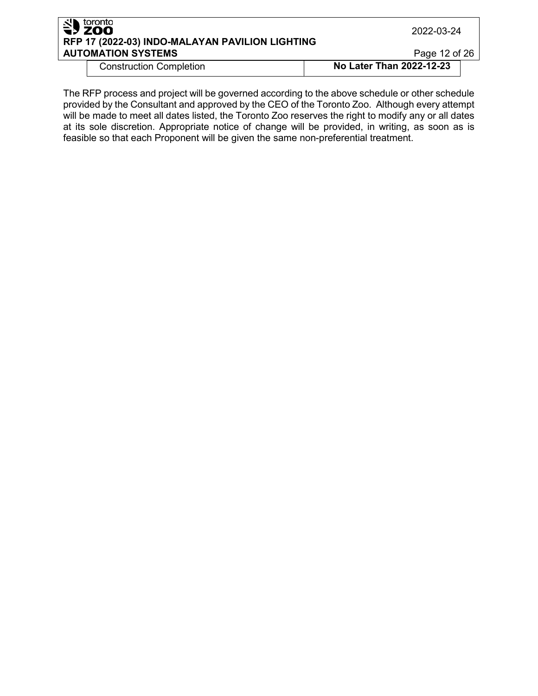| S <sup>toronto</sup> | RFP 17 (2022-03) INDO-MALAYAN PAVILION LIGHTING | 2022-03-24               |  |
|----------------------|-------------------------------------------------|--------------------------|--|
|                      | <b>AUTOMATION SYSTEMS</b>                       | Page 12 of 26            |  |
|                      | <b>Construction Completion</b>                  | No Later Than 2022-12-23 |  |

The RFP process and project will be governed according to the above schedule or other schedule provided by the Consultant and approved by the CEO of the Toronto Zoo. Although every attempt will be made to meet all dates listed, the Toronto Zoo reserves the right to modify any or all dates at its sole discretion. Appropriate notice of change will be provided, in writing, as soon as is feasible so that each Proponent will be given the same non-preferential treatment.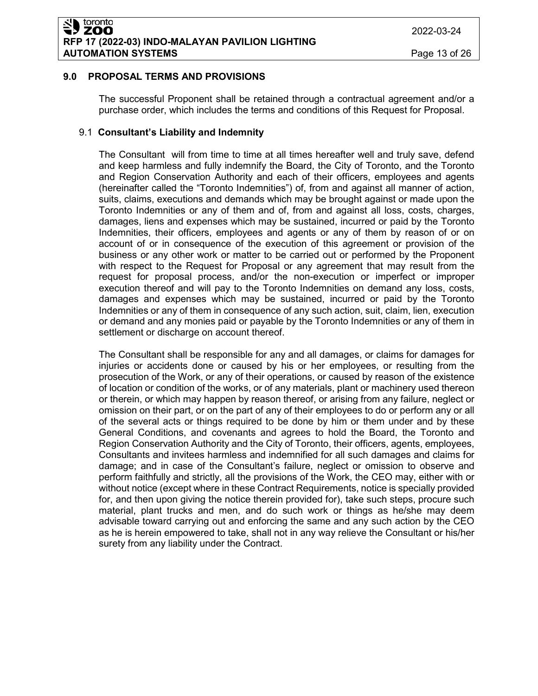## **9.0 PROPOSAL TERMS AND PROVISIONS**

The successful Proponent shall be retained through a contractual agreement and/or a purchase order, which includes the terms and conditions of this Request for Proposal.

## 9.1 **Consultant's Liability and Indemnity**

The Consultant will from time to time at all times hereafter well and truly save, defend and keep harmless and fully indemnify the Board, the City of Toronto, and the Toronto and Region Conservation Authority and each of their officers, employees and agents (hereinafter called the "Toronto Indemnities") of, from and against all manner of action, suits, claims, executions and demands which may be brought against or made upon the Toronto Indemnities or any of them and of, from and against all loss, costs, charges, damages, liens and expenses which may be sustained, incurred or paid by the Toronto Indemnities, their officers, employees and agents or any of them by reason of or on account of or in consequence of the execution of this agreement or provision of the business or any other work or matter to be carried out or performed by the Proponent with respect to the Request for Proposal or any agreement that may result from the request for proposal process, and/or the non-execution or imperfect or improper execution thereof and will pay to the Toronto Indemnities on demand any loss, costs, damages and expenses which may be sustained, incurred or paid by the Toronto Indemnities or any of them in consequence of any such action, suit, claim, lien, execution or demand and any monies paid or payable by the Toronto Indemnities or any of them in settlement or discharge on account thereof.

The Consultant shall be responsible for any and all damages, or claims for damages for injuries or accidents done or caused by his or her employees, or resulting from the prosecution of the Work, or any of their operations, or caused by reason of the existence of location or condition of the works, or of any materials, plant or machinery used thereon or therein, or which may happen by reason thereof, or arising from any failure, neglect or omission on their part, or on the part of any of their employees to do or perform any or all of the several acts or things required to be done by him or them under and by these General Conditions, and covenants and agrees to hold the Board, the Toronto and Region Conservation Authority and the City of Toronto, their officers, agents, employees, Consultants and invitees harmless and indemnified for all such damages and claims for damage; and in case of the Consultant's failure, neglect or omission to observe and perform faithfully and strictly, all the provisions of the Work, the CEO may, either with or without notice (except where in these Contract Requirements, notice is specially provided for, and then upon giving the notice therein provided for), take such steps, procure such material, plant trucks and men, and do such work or things as he/she may deem advisable toward carrying out and enforcing the same and any such action by the CEO as he is herein empowered to take, shall not in any way relieve the Consultant or his/her surety from any liability under the Contract.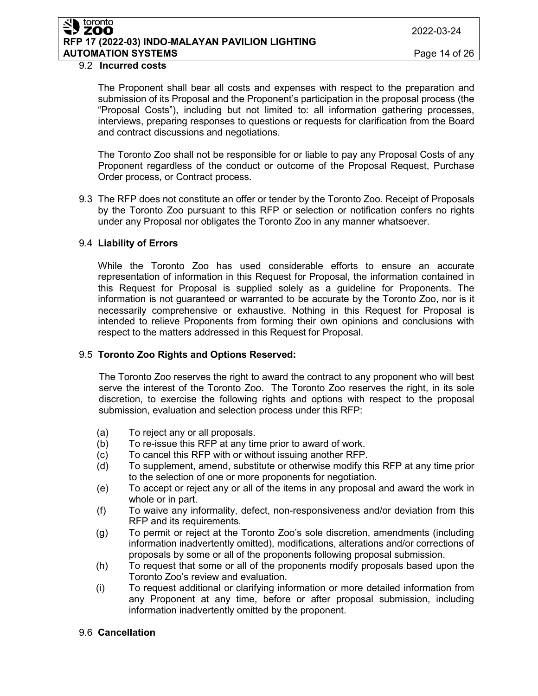#### toronto **ZOO RFP 17 (2022-03) INDO-MALAYAN PAVILION LIGHTING AUTOMATION SYSTEMS** Page 14 of 26

#### 9.2 **Incurred costs**

The Proponent shall bear all costs and expenses with respect to the preparation and submission of its Proposal and the Proponent's participation in the proposal process (the "Proposal Costs"), including but not limited to: all information gathering processes, interviews, preparing responses to questions or requests for clarification from the Board and contract discussions and negotiations.

The Toronto Zoo shall not be responsible for or liable to pay any Proposal Costs of any Proponent regardless of the conduct or outcome of the Proposal Request, Purchase Order process, or Contract process.

9.3 The RFP does not constitute an offer or tender by the Toronto Zoo. Receipt of Proposals by the Toronto Zoo pursuant to this RFP or selection or notification confers no rights under any Proposal nor obligates the Toronto Zoo in any manner whatsoever.

### 9.4 **Liability of Errors**

While the Toronto Zoo has used considerable efforts to ensure an accurate representation of information in this Request for Proposal, the information contained in this Request for Proposal is supplied solely as a guideline for Proponents. The information is not guaranteed or warranted to be accurate by the Toronto Zoo, nor is it necessarily comprehensive or exhaustive. Nothing in this Request for Proposal is intended to relieve Proponents from forming their own opinions and conclusions with respect to the matters addressed in this Request for Proposal.

#### 9.5 **Toronto Zoo Rights and Options Reserved:**

The Toronto Zoo reserves the right to award the contract to any proponent who will best serve the interest of the Toronto Zoo. The Toronto Zoo reserves the right, in its sole discretion, to exercise the following rights and options with respect to the proposal submission, evaluation and selection process under this RFP:

- (a) To reject any or all proposals.
- (b) To re-issue this RFP at any time prior to award of work.
- (c) To cancel this RFP with or without issuing another RFP.
- (d) To supplement, amend, substitute or otherwise modify this RFP at any time prior to the selection of one or more proponents for negotiation.
- (e) To accept or reject any or all of the items in any proposal and award the work in whole or in part.
- (f) To waive any informality, defect, non-responsiveness and/or deviation from this RFP and its requirements.
- (g) To permit or reject at the Toronto Zoo's sole discretion, amendments (including information inadvertently omitted), modifications, alterations and/or corrections of proposals by some or all of the proponents following proposal submission.
- (h) To request that some or all of the proponents modify proposals based upon the Toronto Zoo's review and evaluation.
- (i) To request additional or clarifying information or more detailed information from any Proponent at any time, before or after proposal submission, including information inadvertently omitted by the proponent.

## 9.6 **Cancellation**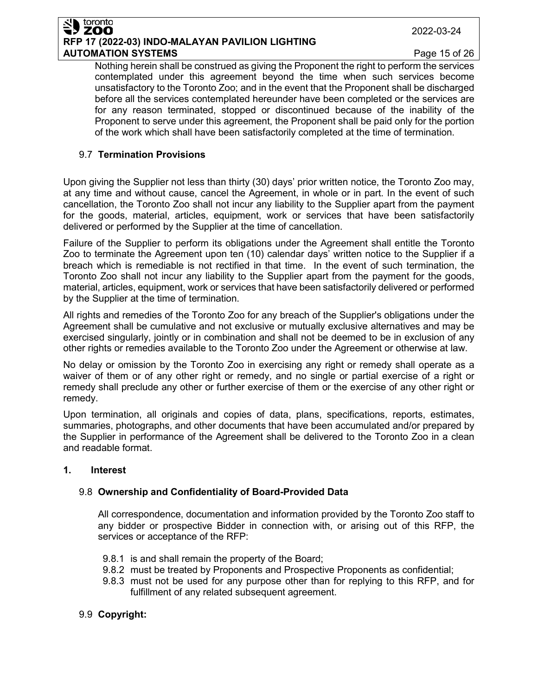#### toronto ZOO **RFP 17 (2022-03) INDO-MALAYAN PAVILION LIGHTING AUTOMATION SYSTEMS Page 15 of 26**

2022-03-24

Nothing herein shall be construed as giving the Proponent the right to perform the services contemplated under this agreement beyond the time when such services become unsatisfactory to the Toronto Zoo; and in the event that the Proponent shall be discharged before all the services contemplated hereunder have been completed or the services are for any reason terminated, stopped or discontinued because of the inability of the Proponent to serve under this agreement, the Proponent shall be paid only for the portion of the work which shall have been satisfactorily completed at the time of termination.

## 9.7 **Termination Provisions**

Upon giving the Supplier not less than thirty (30) days' prior written notice, the Toronto Zoo may, at any time and without cause, cancel the Agreement, in whole or in part. In the event of such cancellation, the Toronto Zoo shall not incur any liability to the Supplier apart from the payment for the goods, material, articles, equipment, work or services that have been satisfactorily delivered or performed by the Supplier at the time of cancellation.

Failure of the Supplier to perform its obligations under the Agreement shall entitle the Toronto Zoo to terminate the Agreement upon ten (10) calendar days' written notice to the Supplier if a breach which is remediable is not rectified in that time. In the event of such termination, the Toronto Zoo shall not incur any liability to the Supplier apart from the payment for the goods, material, articles, equipment, work or services that have been satisfactorily delivered or performed by the Supplier at the time of termination.

All rights and remedies of the Toronto Zoo for any breach of the Supplier's obligations under the Agreement shall be cumulative and not exclusive or mutually exclusive alternatives and may be exercised singularly, jointly or in combination and shall not be deemed to be in exclusion of any other rights or remedies available to the Toronto Zoo under the Agreement or otherwise at law.

No delay or omission by the Toronto Zoo in exercising any right or remedy shall operate as a waiver of them or of any other right or remedy, and no single or partial exercise of a right or remedy shall preclude any other or further exercise of them or the exercise of any other right or remedy.

Upon termination, all originals and copies of data, plans, specifications, reports, estimates, summaries, photographs, and other documents that have been accumulated and/or prepared by the Supplier in performance of the Agreement shall be delivered to the Toronto Zoo in a clean and readable format.

## **1. Interest**

## 9.8 **Ownership and Confidentiality of Board-Provided Data**

All correspondence, documentation and information provided by the Toronto Zoo staff to any bidder or prospective Bidder in connection with, or arising out of this RFP, the services or acceptance of the RFP:

- 9.8.1 is and shall remain the property of the Board;
- 9.8.2 must be treated by Proponents and Prospective Proponents as confidential;
- 9.8.3 must not be used for any purpose other than for replying to this RFP, and for fulfillment of any related subsequent agreement.
- 9.9 **Copyright:**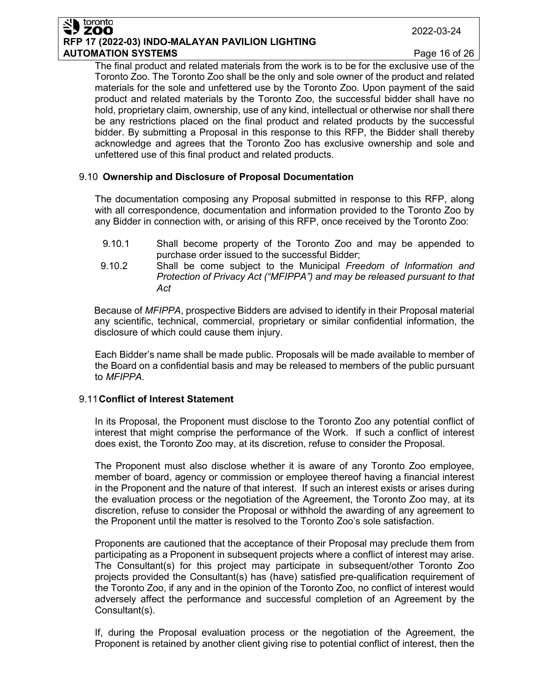#### toronto ZOO **RFP 17 (2022-03) INDO-MALAYAN PAVILION LIGHTING AUTOMATION SYSTEMS Page 16 of 26**

The final product and related materials from the work is to be for the exclusive use of the Toronto Zoo. The Toronto Zoo shall be the only and sole owner of the product and related materials for the sole and unfettered use by the Toronto Zoo. Upon payment of the said product and related materials by the Toronto Zoo, the successful bidder shall have no hold, proprietary claim, ownership, use of any kind, intellectual or otherwise nor shall there be any restrictions placed on the final product and related products by the successful bidder. By submitting a Proposal in this response to this RFP, the Bidder shall thereby acknowledge and agrees that the Toronto Zoo has exclusive ownership and sole and unfettered use of this final product and related products.

## 9.10 **Ownership and Disclosure of Proposal Documentation**

The documentation composing any Proposal submitted in response to this RFP, along with all correspondence, documentation and information provided to the Toronto Zoo by any Bidder in connection with, or arising of this RFP, once received by the Toronto Zoo:

- 9.10.1 Shall become property of the Toronto Zoo and may be appended to purchase order issued to the successful Bidder;
- 9.10.2 Shall be come subject to the Municipal *Freedom of Information and Protection of Privacy Act ("MFIPPA") and may be released pursuant to that Act*

Because of *MFIPPA*, prospective Bidders are advised to identify in their Proposal material any scientific, technical, commercial, proprietary or similar confidential information, the disclosure of which could cause them injury.

Each Bidder's name shall be made public. Proposals will be made available to member of the Board on a confidential basis and may be released to members of the public pursuant to *MFIPPA.*

## 9.11**Conflict of Interest Statement**

In its Proposal, the Proponent must disclose to the Toronto Zoo any potential conflict of interest that might comprise the performance of the Work. If such a conflict of interest does exist, the Toronto Zoo may, at its discretion, refuse to consider the Proposal.

The Proponent must also disclose whether it is aware of any Toronto Zoo employee, member of board, agency or commission or employee thereof having a financial interest in the Proponent and the nature of that interest. If such an interest exists or arises during the evaluation process or the negotiation of the Agreement, the Toronto Zoo may, at its discretion, refuse to consider the Proposal or withhold the awarding of any agreement to the Proponent until the matter is resolved to the Toronto Zoo's sole satisfaction.

Proponents are cautioned that the acceptance of their Proposal may preclude them from participating as a Proponent in subsequent projects where a conflict of interest may arise. The Consultant(s) for this project may participate in subsequent/other Toronto Zoo projects provided the Consultant(s) has (have) satisfied pre-qualification requirement of the Toronto Zoo, if any and in the opinion of the Toronto Zoo, no conflict of interest would adversely affect the performance and successful completion of an Agreement by the Consultant(s).

If, during the Proposal evaluation process or the negotiation of the Agreement, the Proponent is retained by another client giving rise to potential conflict of interest, then the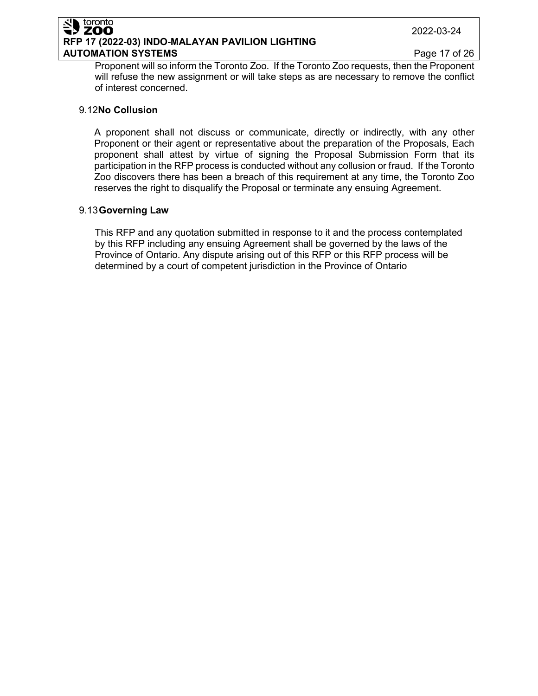#### 2022-03-24

#### ZOO **RFP 17 (2022-03) INDO-MALAYAN PAVILION LIGHTING AUTOMATION SYSTEMS Page 17 of 26**

Proponent will so inform the Toronto Zoo. If the Toronto Zoo requests, then the Proponent will refuse the new assignment or will take steps as are necessary to remove the conflict of interest concerned.

#### 9.12**No Collusion**

toronto

A proponent shall not discuss or communicate, directly or indirectly, with any other Proponent or their agent or representative about the preparation of the Proposals, Each proponent shall attest by virtue of signing the Proposal Submission Form that its participation in the RFP process is conducted without any collusion or fraud. If the Toronto Zoo discovers there has been a breach of this requirement at any time, the Toronto Zoo reserves the right to disqualify the Proposal or terminate any ensuing Agreement.

### 9.13**Governing Law**

This RFP and any quotation submitted in response to it and the process contemplated by this RFP including any ensuing Agreement shall be governed by the laws of the Province of Ontario. Any dispute arising out of this RFP or this RFP process will be determined by a court of competent jurisdiction in the Province of Ontario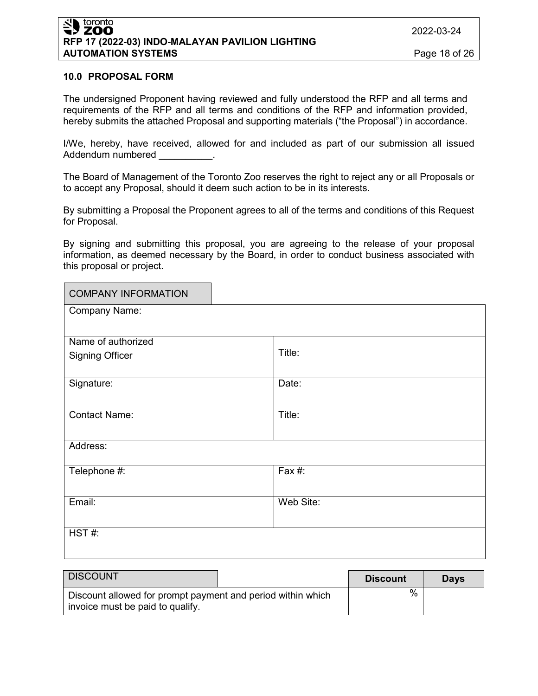#### **10.0 PROPOSAL FORM**

The undersigned Proponent having reviewed and fully understood the RFP and all terms and requirements of the RFP and all terms and conditions of the RFP and information provided, hereby submits the attached Proposal and supporting materials ("the Proposal") in accordance.

I/We, hereby, have received, allowed for and included as part of our submission all issued Addendum numbered

The Board of Management of the Toronto Zoo reserves the right to reject any or all Proposals or to accept any Proposal, should it deem such action to be in its interests.

By submitting a Proposal the Proponent agrees to all of the terms and conditions of this Request for Proposal.

By signing and submitting this proposal, you are agreeing to the release of your proposal information, as deemed necessary by the Board, in order to conduct business associated with this proposal or project.

| <b>COMPANY INFORMATION</b> |           |
|----------------------------|-----------|
| Company Name:              |           |
|                            |           |
| Name of authorized         |           |
| <b>Signing Officer</b>     | Title:    |
| Signature:                 | Date:     |
| <b>Contact Name:</b>       | Title:    |
| Address:                   |           |
| Telephone #:               | Fax #:    |
| Email:                     | Web Site: |
| HST#:                      |           |

| <b>DISCOUNT</b>                                                                                 | <b>Discount</b> | <b>Davs</b> |
|-------------------------------------------------------------------------------------------------|-----------------|-------------|
| Discount allowed for prompt payment and period within which<br>invoice must be paid to qualify. | $\%$            |             |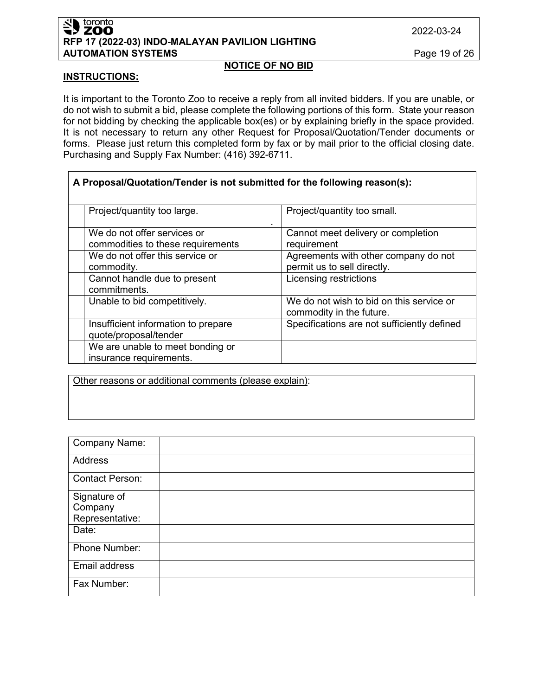#### toronto **ZOO RFP 17 (2022-03) INDO-MALAYAN PAVILION LIGHTING AUTOMATION SYSTEMS** Page 19 of 26

#### **INSTRUCTIONS:**

It is important to the Toronto Zoo to receive a reply from all invited bidders. If you are unable, or do not wish to submit a bid, please complete the following portions of this form. State your reason for not bidding by checking the applicable box(es) or by explaining briefly in the space provided. It is not necessary to return any other Request for Proposal/Quotation/Tender documents or forms. Please just return this completed form by fax or by mail prior to the official closing date. Purchasing and Supply Fax Number: (416) 392-6711.

**NOTICE OF NO BID**

| A Proposal/Quotation/Tender is not submitted for the following reason(s): |                                             |  |
|---------------------------------------------------------------------------|---------------------------------------------|--|
| Project/quantity too large.                                               | Project/quantity too small.<br>٠            |  |
| We do not offer services or                                               | Cannot meet delivery or completion          |  |
| commodities to these requirements                                         | requirement                                 |  |
| We do not offer this service or                                           | Agreements with other company do not        |  |
| commodity.                                                                | permit us to sell directly.                 |  |
| Cannot handle due to present                                              | Licensing restrictions                      |  |
| commitments.                                                              |                                             |  |
| Unable to bid competitively.                                              | We do not wish to bid on this service or    |  |
|                                                                           | commodity in the future.                    |  |
| Insufficient information to prepare                                       | Specifications are not sufficiently defined |  |
| quote/proposal/tender                                                     |                                             |  |
| We are unable to meet bonding or                                          |                                             |  |
| insurance requirements.                                                   |                                             |  |

Other reasons or additional comments (please explain):

| <b>Company Name:</b>                       |  |
|--------------------------------------------|--|
| <b>Address</b>                             |  |
| <b>Contact Person:</b>                     |  |
| Signature of<br>Company<br>Representative: |  |
| Date:                                      |  |
| Phone Number:                              |  |
| Email address                              |  |
| Fax Number:                                |  |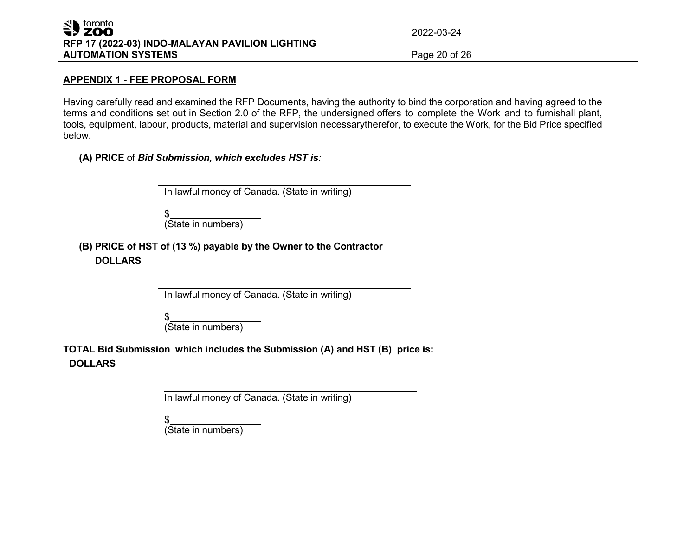## SU toronto **RFP 17 (2022-03) INDO-MALAYAN PAVILION LIGHTING AUTOMATION SYSTEMS** Page 20 of 26

2022-03-24

### **APPENDIX 1 - FEE PROPOSAL FORM**

Having carefully read and examined the RFP Documents, having the authority to bind the corporation and having agreed to the terms and conditions set out in Section 2.0 of the RFP, the undersigned offers to complete the Work and to furnishall plant, tools, equipment, labour, products, material and supervision necessarytherefor, to execute the Work, for the Bid Price specified below.

**(A) PRICE** of *Bid Submission, which excludes HST is:*

In lawful money of Canada. (State in writing)

\$ (State in numbers)

**(B) PRICE of HST of (13 %) payable by the Owner to the Contractor DOLLARS**

In lawful money of Canada. (State in writing)

\$ (State in numbers)

**TOTAL Bid Submission which includes the Submission (A) and HST (B) price is: DOLLARS**

In lawful money of Canada. (State in writing)

\$

(State in numbers)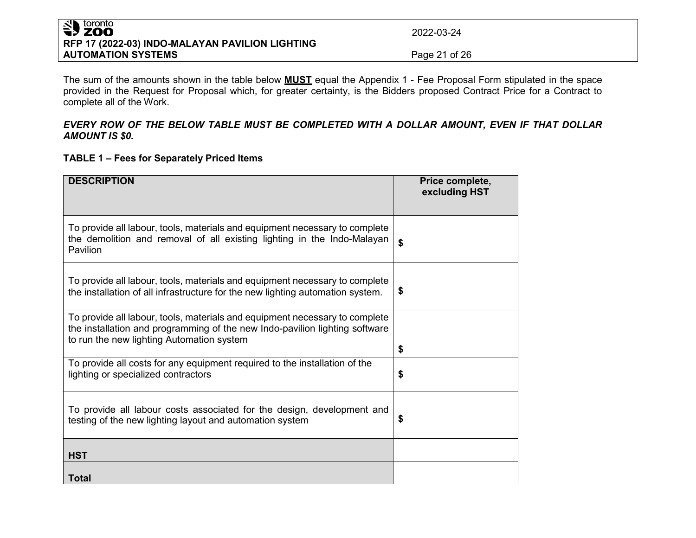## SU toronto **RFP 17 (2022-03) INDO-MALAYAN PAVILION LIGHTING AUTOMATION SYSTEMS Page 21 of 26**

2022-03-24

The sum of the amounts shown in the table below **MUST** equal the Appendix 1 - Fee Proposal Form stipulated in the space provided in the Request for Proposal which, for greater certainty, is the Bidders proposed Contract Price for a Contract to complete all of the Work.

### *EVERY ROW OF THE BELOW TABLE MUST BE COMPLETED WITH A DOLLAR AMOUNT, EVEN IF THAT DOLLAR AMOUNT IS \$0.*

### **TABLE 1 – Fees for Separately Priced Items**

| <b>DESCRIPTION</b>                                                                                                                                                                                      | Price complete,<br>excluding HST |
|---------------------------------------------------------------------------------------------------------------------------------------------------------------------------------------------------------|----------------------------------|
| To provide all labour, tools, materials and equipment necessary to complete<br>the demolition and removal of all existing lighting in the Indo-Malayan<br>Pavilion                                      | \$                               |
| To provide all labour, tools, materials and equipment necessary to complete<br>the installation of all infrastructure for the new lighting automation system.                                           | \$                               |
| To provide all labour, tools, materials and equipment necessary to complete<br>the installation and programming of the new Indo-pavilion lighting software<br>to run the new lighting Automation system | \$                               |
| To provide all costs for any equipment required to the installation of the<br>lighting or specialized contractors                                                                                       | \$                               |
| To provide all labour costs associated for the design, development and<br>testing of the new lighting layout and automation system                                                                      | S                                |
| <b>HST</b>                                                                                                                                                                                              |                                  |
| <b>Total</b>                                                                                                                                                                                            |                                  |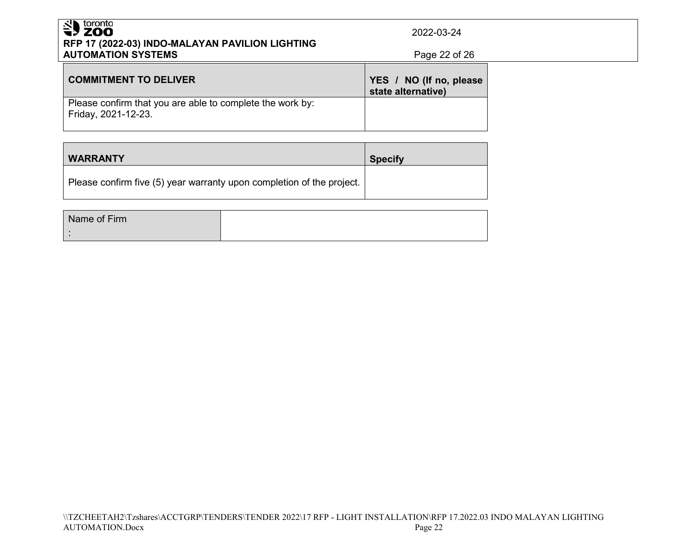## Superiordinal contracts **RFP 17 (2022-03) INDO-MALAYAN PAVILION LIGHTING AUTOMATION SYSTEMS Page 22 of 26**

2022-03-24

| <b>COMMITMENT TO DELIVER</b>                                                     | YES / NO (If no, please<br>state alternative) |
|----------------------------------------------------------------------------------|-----------------------------------------------|
| Please confirm that you are able to complete the work by:<br>Friday, 2021-12-23. |                                               |

| <b>WARRANTY</b>                                                       | <b>Specify</b> |
|-----------------------------------------------------------------------|----------------|
| Please confirm five (5) year warranty upon completion of the project. |                |

| Name of Firm |  |
|--------------|--|
|              |  |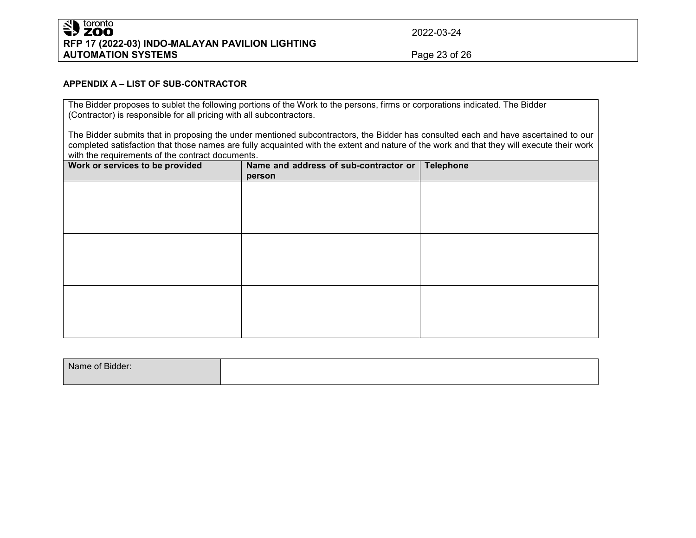## SU toronto **RFP 17 (2022-03) INDO-MALAYAN PAVILION LIGHTING AUTOMATION SYSTEMS** Page 23 of 26

2022-03-24

#### **APPENDIX A – LIST OF SUB-CONTRACTOR**

The Bidder proposes to sublet the following portions of the Work to the persons, firms or corporations indicated. The Bidder (Contractor) is responsible for all pricing with all subcontractors.

The Bidder submits that in proposing the under mentioned subcontractors, the Bidder has consulted each and have ascertained to our completed satisfaction that those names are fully acquainted with the extent and nature of the work and that they will execute their work with the requirements of the contract documents.

| Work or services to be provided | Name and address of sub-contractor or  <br>person | <b>Telephone</b> |
|---------------------------------|---------------------------------------------------|------------------|
|                                 |                                                   |                  |
|                                 |                                                   |                  |
|                                 |                                                   |                  |
|                                 |                                                   |                  |
|                                 |                                                   |                  |
|                                 |                                                   |                  |
|                                 |                                                   |                  |
|                                 |                                                   |                  |
|                                 |                                                   |                  |

| Name of Bidder: |  |
|-----------------|--|
|                 |  |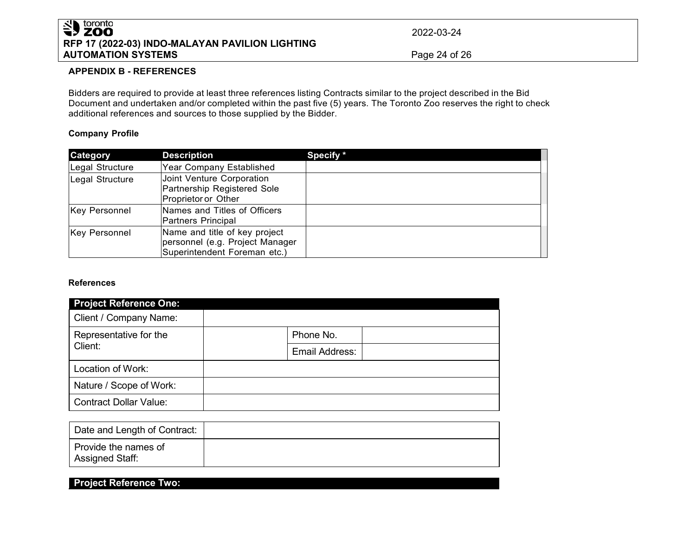## SU toronto **RFP 17 (2022-03) INDO-MALAYAN PAVILION LIGHTING AUTOMATION SYSTEMS** Page 24 of 26

2022-03-24

#### **APPENDIX B - REFERENCES**

Bidders are required to provide at least three references listing Contracts similar to the project described in the Bid Document and undertaken and/or completed within the past five (5) years. The Toronto Zoo reserves the right to check additional references and sources to those supplied by the Bidder.

#### **Company Profile**

| <b>Category</b>      | <b>Description</b>                                                                               | Specify * |
|----------------------|--------------------------------------------------------------------------------------------------|-----------|
| Legal Structure      | Year Company Established                                                                         |           |
| Legal Structure      | Joint Venture Corporation<br>Partnership Registered Sole<br>Proprietor or Other                  |           |
| <b>Key Personnel</b> | Names and Titles of Officers<br>Partners Principal                                               |           |
| <b>Key Personnel</b> | Name and title of key project<br>personnel (e.g. Project Manager<br>Superintendent Foreman etc.) |           |

#### **References**

| <b>Project Reference One:</b>     |                |
|-----------------------------------|----------------|
| Client / Company Name:            |                |
| Representative for the<br>Client: | Phone No.      |
|                                   | Email Address: |
| Location of Work:                 |                |
| Nature / Scope of Work:           |                |
| <b>Contract Dollar Value:</b>     |                |

| Date and Length of Contract:            |  |
|-----------------------------------------|--|
| Provide the names of<br>Assigned Staff: |  |

## **Project Reference Two:**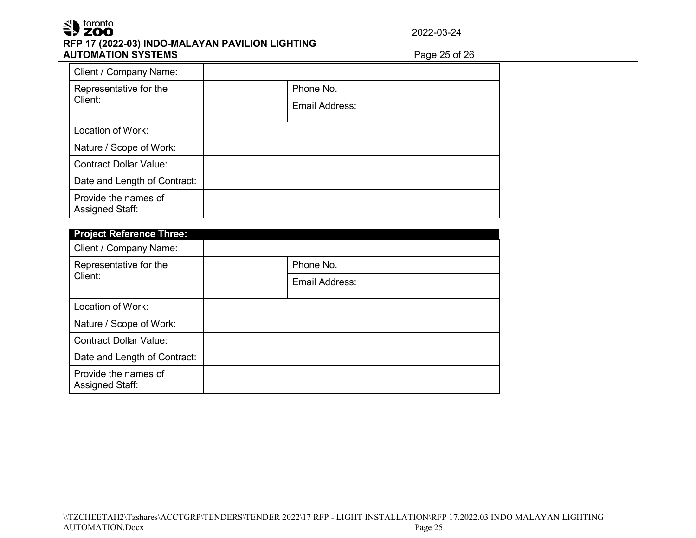# Superiordinal contracts **RFP 17 (2022-03) INDO-MALAYAN PAVILION LIGHTING AUTOMATION SYSTEMS** Page 25 of 26

2022-03-24

| Client / Company Name:                  |                |
|-----------------------------------------|----------------|
| Representative for the                  | Phone No.      |
| Client:                                 | Email Address: |
| Location of Work:                       |                |
| Nature / Scope of Work:                 |                |
| <b>Contract Dollar Value:</b>           |                |
| Date and Length of Contract:            |                |
| Provide the names of<br>Assigned Staff: |                |

| <b>Project Reference Three:</b><br>Client / Company Name: |                |
|-----------------------------------------------------------|----------------|
| Representative for the<br>Client:                         | Phone No.      |
|                                                           | Email Address: |
| Location of Work:                                         |                |
| Nature / Scope of Work:                                   |                |
| <b>Contract Dollar Value:</b>                             |                |
| Date and Length of Contract:                              |                |
| Provide the names of<br>Assigned Staff:                   |                |